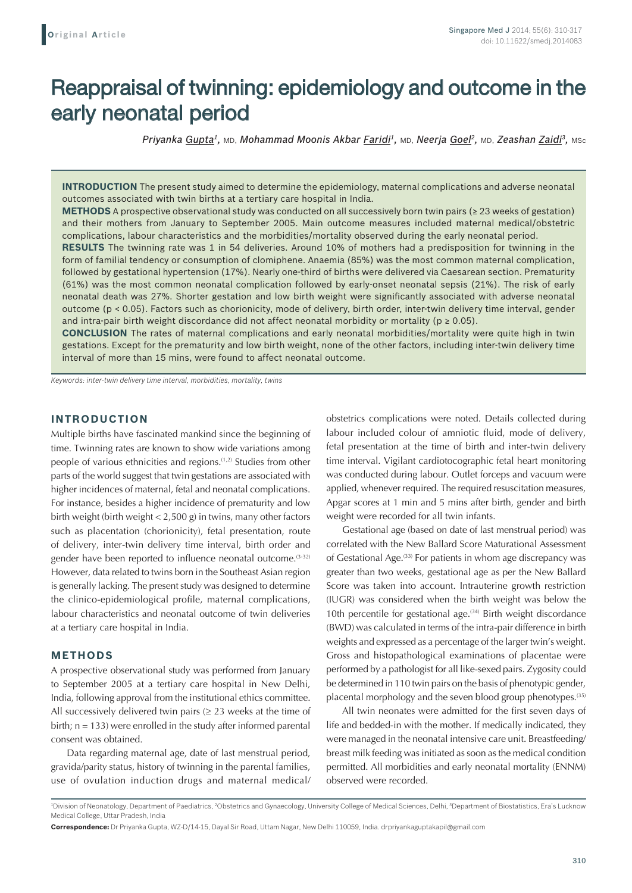# Reappraisal of twinning: epidemiology and outcome in the early neonatal period

*Priyanka Gupta1,* MD, *Mohammad Moonis Akbar Faridi1,* MD, *Neerja Goel2,* MD, *Zeashan Zaidi3,* MSc

**INTRODUCTION** The present study aimed to determine the epidemiology, maternal complications and adverse neonatal outcomes associated with twin births at a tertiary care hospital in India.

**METHODS** A prospective observational study was conducted on all successively born twin pairs (≥ 23 weeks of gestation) and their mothers from January to September 2005. Main outcome measures included maternal medical/obstetric complications, labour characteristics and the morbidities/mortality observed during the early neonatal period.

**RESULTS** The twinning rate was 1 in 54 deliveries. Around 10% of mothers had a predisposition for twinning in the form of familial tendency or consumption of clomiphene. Anaemia (85%) was the most common maternal complication, followed by gestational hypertension (17%). Nearly one-third of births were delivered via Caesarean section. Prematurity (61%) was the most common neonatal complication followed by early-onset neonatal sepsis (21%). The risk of early neonatal death was 27%. Shorter gestation and low birth weight were significantly associated with adverse neonatal outcome (p < 0.05). Factors such as chorionicity, mode of delivery, birth order, inter-twin delivery time interval, gender and intra-pair birth weight discordance did not affect neonatal morbidity or mortality ( $p \ge 0.05$ ).

**CONCLUSION** The rates of maternal complications and early neonatal morbidities/mortality were quite high in twin gestations. Except for the prematurity and low birth weight, none of the other factors, including inter-twin delivery time interval of more than 15 mins, were found to affect neonatal outcome.

*Keywords: inter-twin delivery time interval, morbidities, mortality, twins*

# **INTRODUCTION**

Multiple births have fascinated mankind since the beginning of time. Twinning rates are known to show wide variations among people of various ethnicities and regions.(1,2) Studies from other parts of the world suggest that twin gestations are associated with higher incidences of maternal, fetal and neonatal complications. For instance, besides a higher incidence of prematurity and low birth weight (birth weight < 2,500 g) in twins, many other factors such as placentation (chorionicity), fetal presentation, route of delivery, inter-twin delivery time interval, birth order and gender have been reported to influence neonatal outcome.<sup>(3-32)</sup> However, data related to twins born in the Southeast Asian region is generally lacking. The present study was designed to determine the clinico-epidemiological profile, maternal complications, labour characteristics and neonatal outcome of twin deliveries at a tertiary care hospital in India.

## **METHODS**

A prospective observational study was performed from January to September 2005 at a tertiary care hospital in New Delhi, India, following approval from the institutional ethics committee. All successively delivered twin pairs  $(≥ 23$  weeks at the time of birth;  $n = 133$ ) were enrolled in the study after informed parental consent was obtained.

Data regarding maternal age, date of last menstrual period, gravida/parity status, history of twinning in the parental families, use of ovulation induction drugs and maternal medical/ obstetrics complications were noted. Details collected during labour included colour of amniotic fluid, mode of delivery, fetal presentation at the time of birth and inter-twin delivery time interval. Vigilant cardiotocographic fetal heart monitoring was conducted during labour. Outlet forceps and vacuum were applied, whenever required. The required resuscitation measures, Apgar scores at 1 min and 5 mins after birth, gender and birth weight were recorded for all twin infants.

Gestational age (based on date of last menstrual period) was correlated with the New Ballard Score Maturational Assessment of Gestational Age.<sup>(33)</sup> For patients in whom age discrepancy was greater than two weeks, gestational age as per the New Ballard Score was taken into account. Intrauterine growth restriction (IUGR) was considered when the birth weight was below the 10th percentile for gestational age.<sup>(34)</sup> Birth weight discordance (BWD) was calculated in terms of the intra-pair difference in birth weights and expressed as a percentage of the larger twin's weight. Gross and histopathological examinations of placentae were performed by a pathologist for all like-sexed pairs. Zygosity could be determined in 110 twin pairs on the basis of phenotypic gender, placental morphology and the seven blood group phenotypes.<sup>(35)</sup>

All twin neonates were admitted for the first seven days of life and bedded-in with the mother. If medically indicated, they were managed in the neonatal intensive care unit. Breastfeeding/ breast milk feeding was initiated as soon as the medical condition permitted. All morbidities and early neonatal mortality (ENNM) observed were recorded.

<sup>&</sup>lt;sup>1</sup>Division of Neonatology, Department of Paediatrics, <sup>2</sup>Obstetrics and Gynaecology, University College of Medical Sciences, Delhi, <sup>3</sup>Department of Biostatistics, Era's Lucknow Medical College, Uttar Pradesh, India

**Correspondence:** Dr Priyanka Gupta, WZ-D/14-15, Dayal Sir Road, Uttam Nagar, New Delhi 110059, India. drpriyankaguptakapil@gmail.com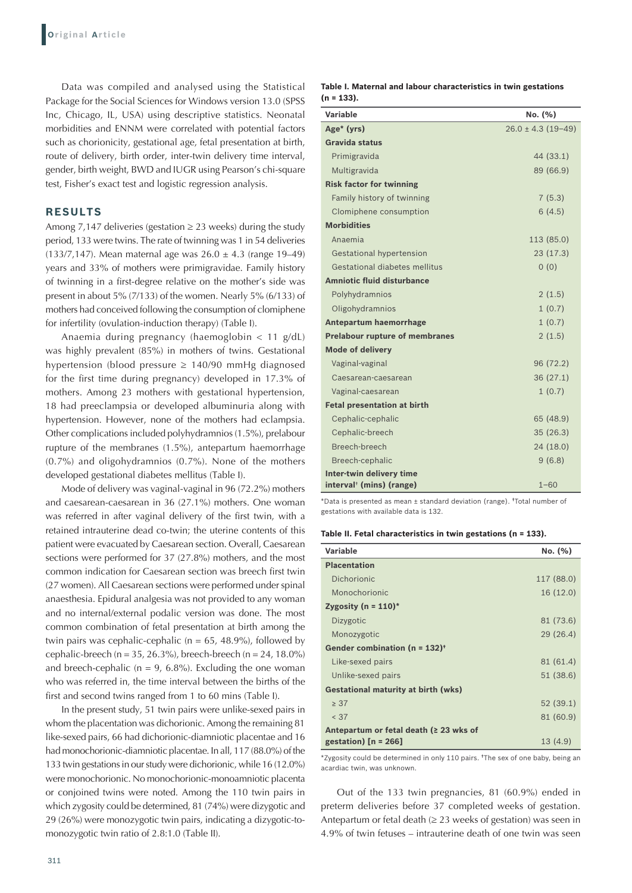Data was compiled and analysed using the Statistical Package for the Social Sciences for Windows version 13.0 (SPSS Inc, Chicago, IL, USA) using descriptive statistics. Neonatal morbidities and ENNM were correlated with potential factors such as chorionicity, gestational age, fetal presentation at birth, route of delivery, birth order, inter-twin delivery time interval, gender, birth weight, BWD and IUGR using Pearson's chi-square test, Fisher's exact test and logistic regression analysis.

## **RESULTS**

Among 7,147 deliveries (gestation  $\geq$  23 weeks) during the study period, 133 were twins. The rate of twinning was 1 in 54 deliveries (133/7,147). Mean maternal age was  $26.0 \pm 4.3$  (range 19-49) years and 33% of mothers were primigravidae. Family history of twinning in a first-degree relative on the mother's side was present in about 5% (7/133) of the women. Nearly 5% (6/133) of mothers had conceived following the consumption of clomiphene for infertility (ovulation-induction therapy) (Table I).

Anaemia during pregnancy (haemoglobin < 11 g/dL) was highly prevalent (85%) in mothers of twins. Gestational hypertension (blood pressure ≥ 140/90 mmHg diagnosed for the first time during pregnancy) developed in 17.3% of mothers. Among 23 mothers with gestational hypertension, 18 had preeclampsia or developed albuminuria along with hypertension. However, none of the mothers had eclampsia. Other complications included polyhydramnios (1.5%), prelabour rupture of the membranes (1.5%), antepartum haemorrhage (0.7%) and oligohydramnios (0.7%). None of the mothers developed gestational diabetes mellitus (Table I).

Mode of delivery was vaginal-vaginal in 96 (72.2%) mothers and caesarean-caesarean in 36 (27.1%) mothers. One woman was referred in after vaginal delivery of the first twin, with a retained intrauterine dead co-twin; the uterine contents of this patient were evacuated by Caesarean section. Overall, Caesarean sections were performed for 37 (27.8%) mothers, and the most common indication for Caesarean section was breech first twin (27 women). All Caesarean sections were performed under spinal anaesthesia. Epidural analgesia was not provided to any woman and no internal/external podalic version was done. The most common combination of fetal presentation at birth among the twin pairs was cephalic-cephalic ( $n = 65$ , 48.9%), followed by cephalic-breech (n = 35, 26.3%), breech-breech (n = 24, 18.0%) and breech-cephalic ( $n = 9$ , 6.8%). Excluding the one woman who was referred in, the time interval between the births of the first and second twins ranged from 1 to 60 mins (Table I).

In the present study, 51 twin pairs were unlike-sexed pairs in whom the placentation was dichorionic. Among the remaining 81 like-sexed pairs, 66 had dichorionic-diamniotic placentae and 16 had monochorionic-diamniotic placentae. In all, 117 (88.0%) of the 133 twin gestations in our study were dichorionic, while 16 (12.0%) were monochorionic. No monochorionic-monoamniotic placenta or conjoined twins were noted. Among the 110 twin pairs in which zygosity could be determined, 81 (74%) were dizygotic and 29 (26%) were monozygotic twin pairs, indicating a dizygotic-tomonozygotic twin ratio of 2.8:1.0 (Table II).

| Table I. Maternal and labour characteristics in twin gestations |  |  |
|-----------------------------------------------------------------|--|--|
| $(n = 133)$ .                                                   |  |  |

| Variable                              | No. (%)                |
|---------------------------------------|------------------------|
| Age* (yrs)                            | $26.0 \pm 4.3$ (19-49) |
| <b>Gravida status</b>                 |                        |
| Primigravida                          | 44 (33.1)              |
| Multigravida                          | 89 (66.9)              |
| <b>Risk factor for twinning</b>       |                        |
| Family history of twinning            | 7(5.3)                 |
| Clomiphene consumption                | 6(4.5)                 |
| <b>Morbidities</b>                    |                        |
| Anaemia                               | 113 (85.0)             |
| Gestational hypertension              | 23(17.3)               |
| Gestational diabetes mellitus         | 0(0)                   |
| <b>Amniotic fluid disturbance</b>     |                        |
| Polyhydramnios                        | 2(1.5)                 |
| Oligohydramnios                       | 1(0.7)                 |
| <b>Antepartum haemorrhage</b>         | 1(0.7)                 |
| <b>Prelabour rupture of membranes</b> | 2(1.5)                 |
| <b>Mode of delivery</b>               |                        |
| Vaginal-vaginal                       | 96 (72.2)              |
| Caesarean-caesarean                   | 36(27.1)               |
| Vaginal-caesarean                     | 1(0.7)                 |
| <b>Fetal presentation at birth</b>    |                        |
| Cephalic-cephalic                     | 65 (48.9)              |
| Cephalic-breech                       | 35(26.3)               |
| Breech-breech                         | 24 (18.0)              |
| Breech-cephalic                       | 9(6.8)                 |
| Inter-twin delivery time              |                        |
| interval <sup>†</sup> (mins) (range)  | $1 - 60$               |

\*Data is presented as mean ± standard deviation (range). †Total number of gestations with available data is 132.

#### **Table II. Fetal characteristics in twin gestations (n = 133).**

| Variable                                      | No. (%)    |
|-----------------------------------------------|------------|
| <b>Placentation</b>                           |            |
| Dichorionic                                   | 117 (88.0) |
| Monochorionic                                 | 16 (12.0)  |
| Zygosity ( $n = 110$ )*                       |            |
| Dizygotic                                     | 81 (73.6)  |
| Monozygotic                                   | 29(26.4)   |
| Gender combination ( $n = 132$ ) <sup>+</sup> |            |
| Like-sexed pairs                              | 81 (61.4)  |
| Unlike-sexed pairs                            | 51 (38.6)  |
| <b>Gestational maturity at birth (wks)</b>    |            |
| $\geq 37$                                     | 52 (39.1)  |
| < 37                                          | 81 (60.9)  |
| Antepartum or fetal death (≥ 23 wks of        |            |
| gestation) $[n = 266]$                        | 13(4.9)    |

\*Zygosity could be determined in only 110 pairs. †The sex of one baby, being an acardiac twin, was unknown.

Out of the 133 twin pregnancies, 81 (60.9%) ended in preterm deliveries before 37 completed weeks of gestation. Antepartum or fetal death  $(≥ 23$  weeks of gestation) was seen in 4.9% of twin fetuses – intrauterine death of one twin was seen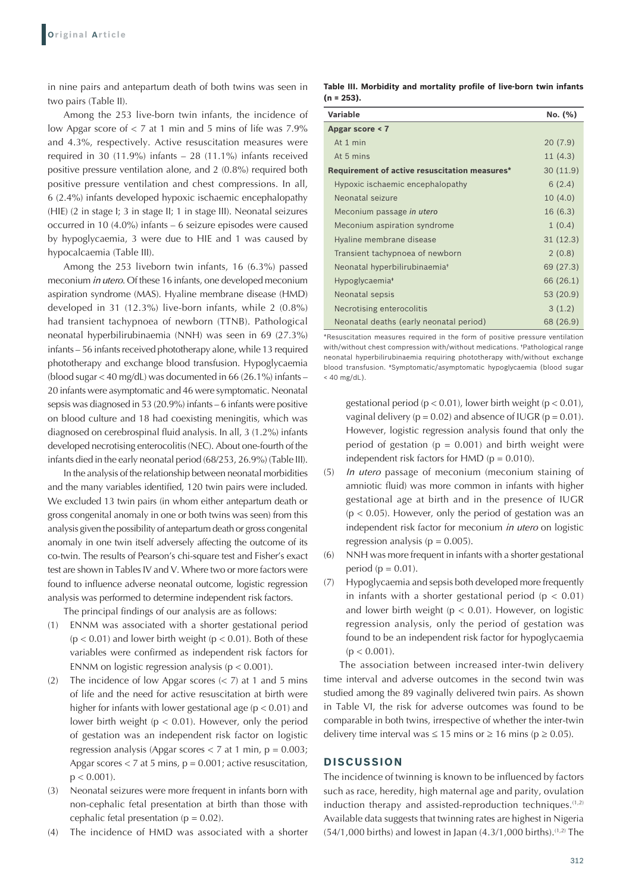in nine pairs and antepartum death of both twins was seen in two pairs (Table II).

Among the 253 live-born twin infants, the incidence of low Apgar score of < 7 at 1 min and 5 mins of life was 7.9% and 4.3%, respectively. Active resuscitation measures were required in 30 (11.9%) infants – 28 (11.1%) infants received positive pressure ventilation alone, and 2 (0.8%) required both positive pressure ventilation and chest compressions. In all, 6 (2.4%) infants developed hypoxic ischaemic encephalopathy (HIE) (2 in stage I; 3 in stage II; 1 in stage III). Neonatal seizures occurred in 10 (4.0%) infants – 6 seizure episodes were caused by hypoglycaemia, 3 were due to HIE and 1 was caused by hypocalcaemia (Table III).

Among the 253 liveborn twin infants, 16 (6.3%) passed meconium *in utero*. Of these 16 infants, one developed meconium aspiration syndrome (MAS). Hyaline membrane disease (HMD) developed in 31 (12.3%) live-born infants, while 2 (0.8%) had transient tachypnoea of newborn (TTNB). Pathological neonatal hyperbilirubinaemia (NNH) was seen in 69 (27.3%) infants – 56 infants received phototherapy alone, while 13 required phototherapy and exchange blood transfusion. Hypoglycaemia (blood sugar < 40 mg/dL) was documented in 66 (26.1%) infants – 20 infants were asymptomatic and 46 were symptomatic. Neonatal sepsis was diagnosed in 53 (20.9%) infants – 6 infants were positive on blood culture and 18 had coexisting meningitis, which was diagnosed on cerebrospinal fluid analysis. In all, 3 (1.2%) infants developed necrotising enterocolitis (NEC). About one-fourth of the infants died in the early neonatal period (68/253, 26.9%) (Table III).

In the analysis of the relationship between neonatal morbidities and the many variables identified, 120 twin pairs were included. We excluded 13 twin pairs (in whom either antepartum death or gross congenital anomaly in one or both twins was seen) from this analysis given the possibility of antepartum death or gross congenital anomaly in one twin itself adversely affecting the outcome of its co-twin. The results of Pearson's chi-square test and Fisher's exact test are shown in Tables IV and V. Where two or more factors were found to influence adverse neonatal outcome, logistic regression analysis was performed to determine independent risk factors.

The principal findings of our analysis are as follows:

- (1) ENNM was associated with a shorter gestational period  $(p < 0.01)$  and lower birth weight  $(p < 0.01)$ . Both of these variables were confirmed as independent risk factors for ENNM on logistic regression analysis ( $p < 0.001$ ).
- (2) The incidence of low Apgar scores (< 7) at 1 and 5 mins of life and the need for active resuscitation at birth were higher for infants with lower gestational age ( $p < 0.01$ ) and lower birth weight ( $p < 0.01$ ). However, only the period of gestation was an independent risk factor on logistic regression analysis (Apgar scores  $<$  7 at 1 min,  $p = 0.003$ ; Apgar scores  $<$  7 at 5 mins,  $p = 0.001$ ; active resuscitation,  $p < 0.001$ ).
- (3) Neonatal seizures were more frequent in infants born with non-cephalic fetal presentation at birth than those with cephalic fetal presentation ( $p = 0.02$ ).
- (4) The incidence of HMD was associated with a shorter

**Table III. Morbidity and mortality profile of live‑born twin infants (n = 253).**

| Variable                                      | No. (%)   |
|-----------------------------------------------|-----------|
| Apgar score < 7                               |           |
| At 1 min                                      | 20(7.9)   |
| At 5 mins                                     | 11(4.3)   |
| Requirement of active resuscitation measures* | 30(11.9)  |
| Hypoxic ischaemic encephalopathy              | 6(2.4)    |
| Neonatal seizure                              | 10(4.0)   |
| Meconium passage in utero                     | 16 (6.3)  |
| Meconium aspiration syndrome                  | 1(0.4)    |
| Hyaline membrane disease                      | 31(12.3)  |
| Transient tachypnoea of newborn               | 2(0.8)    |
| Neonatal hyperbilirubinaemia <sup>t</sup>     | 69 (27.3) |
| Hypoglycaemia <sup>*</sup>                    | 66 (26.1) |
| Neonatal sepsis                               | 53 (20.9) |
| Necrotising enterocolitis                     | 3(1.2)    |
| Neonatal deaths (early neonatal period)       | 68 (26.9) |

\*Resuscitation measures required in the form of positive pressure ventilation with/without chest compression with/without medications. †Pathological range neonatal hyperbilirubinaemia requiring phototherapy with/without exchange blood transfusion. ‡Symptomatic/asymptomatic hypoglycaemia (blood sugar  $<$  40 mg/dL).

gestational period ( $p < 0.01$ ), lower birth weight ( $p < 0.01$ ), vaginal delivery ( $p = 0.02$ ) and absence of IUGR ( $p = 0.01$ ). However, logistic regression analysis found that only the period of gestation ( $p = 0.001$ ) and birth weight were independent risk factors for HMD ( $p = 0.010$ ).

- (5) *In utero* passage of meconium (meconium staining of amniotic fluid) was more common in infants with higher gestational age at birth and in the presence of IUGR  $(p < 0.05)$ . However, only the period of gestation was an independent risk factor for meconium *in utero* on logistic regression analysis ( $p = 0.005$ ).
- (6) NNH was more frequent in infants with a shorter gestational period ( $p = 0.01$ ).
- (7) Hypoglycaemia and sepsis both developed more frequently in infants with a shorter gestational period ( $p < 0.01$ ) and lower birth weight ( $p < 0.01$ ). However, on logistic regression analysis, only the period of gestation was found to be an independent risk factor for hypoglycaemia  $(p < 0.001)$ .

The association between increased inter-twin delivery time interval and adverse outcomes in the second twin was studied among the 89 vaginally delivered twin pairs. As shown in Table VI, the risk for adverse outcomes was found to be comparable in both twins, irrespective of whether the inter-twin delivery time interval was  $\leq 15$  mins or  $\geq 16$  mins (p  $\geq 0.05$ ).

## **DISCUSSION**

The incidence of twinning is known to be influenced by factors such as race, heredity, high maternal age and parity, ovulation induction therapy and assisted-reproduction techniques.<sup>(1,2)</sup> Available data suggests that twinning rates are highest in Nigeria  $(54/1,000 \text{ births})$  and lowest in Japan  $(4.3/1,000 \text{ births})$ .<sup>(1,2)</sup> The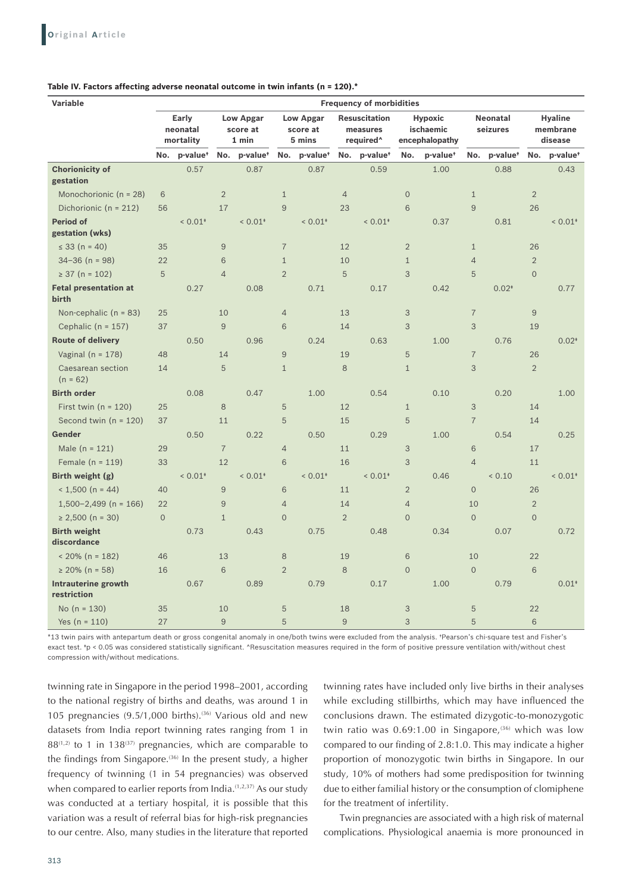#### **Table IV. Factors affecting adverse neonatal outcome in twin infants (n = 120).\***

| Variable                                  | <b>Frequency of morbidities</b> |                       |                                       |                      |                |                                        |                |                                                           |                           |                                               |                |                             |                     |                                       |  |
|-------------------------------------------|---------------------------------|-----------------------|---------------------------------------|----------------------|----------------|----------------------------------------|----------------|-----------------------------------------------------------|---------------------------|-----------------------------------------------|----------------|-----------------------------|---------------------|---------------------------------------|--|
|                                           | Early<br>neonatal<br>mortality  |                       | <b>Low Apgar</b><br>score at<br>1 min |                      |                | <b>Low Apgar</b><br>score at<br>5 mins |                | <b>Resuscitation</b><br>measures<br>required <sup>^</sup> |                           | <b>Hypoxic</b><br>ischaemic<br>encephalopathy |                | <b>Neonatal</b><br>seizures |                     | <b>Hyaline</b><br>membrane<br>disease |  |
|                                           | No.                             | p-value <sup>+</sup>  | No.                                   | p-value <sup>+</sup> | No.            | p-value <sup>+</sup>                   | No.            | p-value <sup>+</sup>                                      | No.                       | p-value <sup>+</sup>                          | No.            | p-value <sup>+</sup>        | No.                 | p-value <sup>+</sup>                  |  |
| <b>Chorionicity of</b><br>gestation       |                                 | 0.57                  |                                       | 0.87                 |                | 0.87                                   |                | 0.59                                                      |                           | 1.00                                          |                | 0.88                        |                     | 0.43                                  |  |
| Monochorionic ( $n = 28$ )                | 6                               |                       | $\overline{2}$                        |                      | $1\,$          |                                        | $\overline{4}$ |                                                           | $\overline{O}$            |                                               | $\mathbf{1}$   |                             | $\overline{2}$      |                                       |  |
| Dichorionic ( $n = 212$ )                 | 56                              |                       | 17                                    |                      | 9              |                                        | 23             |                                                           | 6                         |                                               | 9              |                             | 26                  |                                       |  |
| <b>Period of</b><br>gestation (wks)       |                                 | $< 0.01*$             |                                       | $< 0.01*$            |                | $< 0.01*$                              |                | $< 0.01$ <sup>*</sup>                                     |                           | 0.37                                          |                | 0.81                        |                     | $< 0.01*$                             |  |
| $\leq$ 33 (n = 40)                        | 35                              |                       | $\mathsf 9$                           |                      | $\overline{7}$ |                                        | 12             |                                                           | $\overline{2}$            |                                               | $\mathbf{1}$   |                             | 26                  |                                       |  |
| $34 - 36$ (n = 98)                        | 22                              |                       | 6                                     |                      | $\mathbf{1}$   |                                        | 10             |                                                           | $\mathbf{1}$              |                                               | $\overline{4}$ |                             | $\overline{2}$      |                                       |  |
| $\geq$ 37 (n = 102)                       | 5                               |                       | $\overline{4}$                        |                      | $\overline{2}$ |                                        | 5              |                                                           | 3                         |                                               | 5              |                             | $\overline{0}$      |                                       |  |
| <b>Fetal presentation at</b><br>birth     |                                 | 0.27                  |                                       | 0.08                 |                | 0.71                                   |                | 0.17                                                      |                           | 0.42                                          |                | $0.02*$                     |                     | 0.77                                  |  |
| Non-cephalic ( $n = 83$ )                 | 25                              |                       | 10                                    |                      | $\overline{4}$ |                                        | 13             |                                                           | 3                         |                                               | $\overline{7}$ |                             | 9                   |                                       |  |
| Cephalic ( $n = 157$ )                    | 37                              |                       | $\hbox{ }^{\rm 9}$                    |                      | 6              |                                        | 14             |                                                           | 3                         |                                               | 3              |                             | 19                  |                                       |  |
| <b>Route of delivery</b>                  |                                 | 0.50                  |                                       | 0.96                 |                | 0.24                                   |                | 0.63                                                      |                           | 1.00                                          |                | 0.76                        |                     | $0.02*$                               |  |
| Vaginal ( $n = 178$ )                     | 48                              |                       | 14                                    |                      | $\mathsf{9}$   |                                        | 19             |                                                           | 5                         |                                               | $\overline{7}$ |                             | 26                  |                                       |  |
| Caesarean section<br>$(n = 62)$           | 14                              |                       | 5                                     |                      | $1\,$          |                                        | $\,8\,$        |                                                           | $1\,$                     |                                               | 3              |                             | $\overline{2}$      |                                       |  |
| <b>Birth order</b>                        |                                 | 0.08                  |                                       | 0.47                 |                | 1.00                                   |                | 0.54                                                      |                           | 0.10                                          |                | 0.20                        |                     | 1.00                                  |  |
| First twin ( $n = 120$ )                  | 25                              |                       | 8                                     |                      | 5              |                                        | 12             |                                                           | $\mathbf{1}$              |                                               | 3              |                             | 14                  |                                       |  |
| Second twin $(n = 120)$                   | 37                              |                       | 11                                    |                      | 5              |                                        | 15             |                                                           | 5                         |                                               | $\overline{7}$ |                             | 14                  |                                       |  |
| Gender                                    |                                 | 0.50                  |                                       | 0.22                 |                | 0.50                                   |                | 0.29                                                      |                           | 1.00                                          |                | 0.54                        |                     | 0.25                                  |  |
| Male $(n = 121)$                          | 29                              |                       | $\overline{7}$                        |                      | $\overline{4}$ |                                        | 11             |                                                           | 3                         |                                               | 6              |                             | 17                  |                                       |  |
| Female ( $n = 119$ )                      | 33                              |                       | 12                                    |                      | 6              |                                        | 16             |                                                           | 3                         |                                               | $\overline{4}$ |                             | 11                  |                                       |  |
| Birth weight (g)                          |                                 | $< 0.01$ <sup>*</sup> |                                       | $< 0.01*$            |                | $< 0.01*$                              |                | $< 0.01*$                                                 |                           | 0.46                                          |                | 0.10                        |                     | $< 0.01*$                             |  |
| $< 1,500$ (n = 44)                        | 40                              |                       | $\boldsymbol{9}$                      |                      | 6              |                                        | 11             |                                                           | $\overline{2}$            |                                               | $\Omega$       |                             | 26                  |                                       |  |
| $1,500-2,499$ (n = 166)                   | 22                              |                       | $\mathsf{9}$                          |                      | $\overline{4}$ |                                        | 14             |                                                           | $\overline{4}$            |                                               | 10             |                             | $\overline{2}$      |                                       |  |
| $\geq 2,500$ (n = 30)                     | $\overline{O}$                  |                       | $1\,$                                 |                      | $\Omega$       |                                        | $\overline{2}$ |                                                           | $\mathbf 0$               |                                               | $\Omega$       |                             | $\mathsf{O}\xspace$ |                                       |  |
| <b>Birth weight</b><br>discordance        |                                 | 0.73                  |                                       | 0.43                 |                | 0.75                                   |                | 0.48                                                      |                           | 0.34                                          |                | 0.07                        |                     | 0.72                                  |  |
| $< 20\%$ (n = 182)                        | 46                              |                       | 13                                    |                      | 8              |                                        | 19             |                                                           | 6                         |                                               | 10             |                             | 22                  |                                       |  |
| $\geq$ 20% (n = 58)                       | 16                              |                       | 6                                     |                      | $\overline{2}$ |                                        | 8              |                                                           | $\overline{O}$            |                                               | $\overline{0}$ |                             | 6                   |                                       |  |
| <b>Intrauterine growth</b><br>restriction |                                 | 0.67                  |                                       | 0.89                 |                | 0.79                                   |                | 0.17                                                      |                           | 1.00                                          |                | 0.79                        |                     | $0.01*$                               |  |
| No $(n = 130)$                            | 35                              |                       | 10                                    |                      | 5              |                                        | 18             |                                                           | $\ensuremath{\mathsf{3}}$ |                                               | 5              |                             | 22                  |                                       |  |
| Yes $(n = 110)$                           | 27                              |                       | $\mathsf{9}$                          |                      | 5              |                                        | 9              |                                                           | 3                         |                                               | 5              |                             | 6                   |                                       |  |

\*13 twin pairs with antepartum death or gross congenital anomaly in one/both twins were excluded from the analysis. †Pearson's chi-square test and Fisher's exact test. \*p < 0.05 was considered statistically significant. ^Resuscitation measures required in the form of positive pressure ventilation with/without chest compression with/without medications.

twinning rate in Singapore in the period 1998–2001, according to the national registry of births and deaths, was around 1 in 105 pregnancies  $(9.5/1,000 \text{ births})$ .<sup>(36)</sup> Various old and new datasets from India report twinning rates ranging from 1 in  $88^{(1,2)}$  to 1 in 138<sup>(37)</sup> pregnancies, which are comparable to the findings from Singapore. $(36)$  In the present study, a higher frequency of twinning (1 in 54 pregnancies) was observed when compared to earlier reports from India. $(1,2,37)$  As our study was conducted at a tertiary hospital, it is possible that this variation was a result of referral bias for high-risk pregnancies to our centre. Also, many studies in the literature that reported twinning rates have included only live births in their analyses while excluding stillbirths, which may have influenced the conclusions drawn. The estimated dizygotic-to-monozygotic twin ratio was  $0.69:1.00$  in Singapore,<sup>(36)</sup> which was low compared to our finding of 2.8:1.0. This may indicate a higher proportion of monozygotic twin births in Singapore. In our study, 10% of mothers had some predisposition for twinning due to either familial history or the consumption of clomiphene for the treatment of infertility.

Twin pregnancies are associated with a high risk of maternal complications. Physiological anaemia is more pronounced in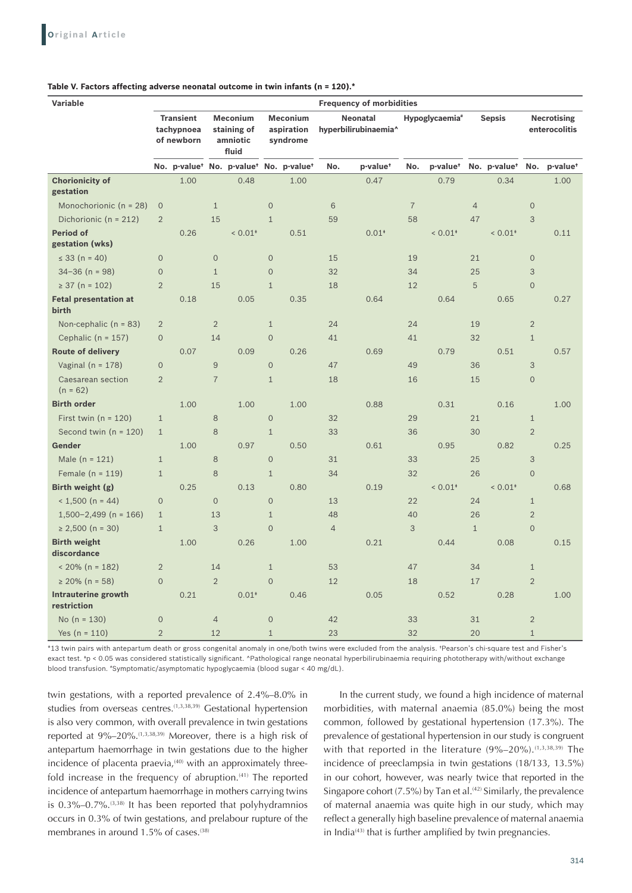| <b>Variable</b>                       | <b>Frequency of morbidities</b>                                                                     |                                                                            |                |                                                                                      |                     |      |                |                      |                          |                       |                                     |                          |                |                      |
|---------------------------------------|-----------------------------------------------------------------------------------------------------|----------------------------------------------------------------------------|----------------|--------------------------------------------------------------------------------------|---------------------|------|----------------|----------------------|--------------------------|-----------------------|-------------------------------------|--------------------------|----------------|----------------------|
|                                       | <b>Transient</b><br><b>Meconium</b><br>tachypnoea<br>staining of<br>of newborn<br>amniotic<br>fluid |                                                                            |                | <b>Meconium</b><br><b>Neonatal</b><br>aspiration<br>hyperbilirubinaemia^<br>syndrome |                     |      |                | Hypoglycaemia*       | <b>Sepsis</b>            |                       | <b>Necrotising</b><br>enterocolitis |                          |                |                      |
|                                       |                                                                                                     | No. p-value <sup>+</sup> No. p-value <sup>+</sup> No. p-value <sup>+</sup> |                |                                                                                      |                     |      | No.            | p-value <sup>+</sup> | No.                      | p-value <sup>+</sup>  |                                     | No. p-value <sup>+</sup> | No.            | p-value <sup>+</sup> |
| <b>Chorionicity of</b><br>gestation   |                                                                                                     | 1.00                                                                       |                | 0.48                                                                                 |                     | 1.00 |                | 0.47                 |                          | 0.79                  |                                     | 0.34                     |                | 1.00                 |
| Monochorionic (n = 28)                | $\overline{0}$                                                                                      |                                                                            | $\mathbf{1}$   |                                                                                      | $\mathsf{O}\xspace$ |      | $6\phantom{a}$ |                      | $\overline{\mathcal{I}}$ |                       | $\overline{4}$                      |                          | $\overline{0}$ |                      |
| Dichorionic ( $n = 212$ )             | $\overline{2}$                                                                                      |                                                                            | 15             |                                                                                      | $\mathbf{1}$        |      | 59             |                      | 58                       |                       | 47                                  |                          | 3              |                      |
| <b>Period of</b><br>gestation (wks)   |                                                                                                     | 0.26                                                                       |                | $< 0.01*$                                                                            |                     | 0.51 |                | $0.01*$              |                          | $< 0.01*$             |                                     | $< 0.01*$                |                | 0.11                 |
| $\leq$ 33 (n = 40)                    | $\mathbf 0$                                                                                         |                                                                            | $\mathbf 0$    |                                                                                      | $\mathbf 0$         |      | 15             |                      | 19                       |                       | 21                                  |                          | $\mathbf 0$    |                      |
| $34 - 36$ (n = 98)                    | $\mathbf 0$                                                                                         |                                                                            | $\mathbf{1}$   |                                                                                      | $\mathbf 0$         |      | 32             |                      | 34                       |                       | 25                                  |                          | 3              |                      |
| $\geq$ 37 (n = 102)                   | $\overline{2}$                                                                                      |                                                                            | 15             |                                                                                      | $\mathbf{1}$        |      | 18             |                      | 12                       |                       | 5                                   |                          | $\overline{0}$ |                      |
| <b>Fetal presentation at</b><br>birth |                                                                                                     | 0.18                                                                       |                | 0.05                                                                                 |                     | 0.35 |                | 0.64                 |                          | 0.64                  |                                     | 0.65                     |                | 0.27                 |
| Non-cephalic $(n = 83)$               | $\overline{2}$                                                                                      |                                                                            | $\overline{2}$ |                                                                                      | $\mathbf{1}$        |      | 24             |                      | 24                       |                       | 19                                  |                          | $\overline{2}$ |                      |
| Cephalic ( $n = 157$ )                | $\overline{O}$                                                                                      |                                                                            | 14             |                                                                                      | $\mathbf 0$         |      | 41             |                      | 41                       |                       | 32                                  |                          | $\mathbf{1}$   |                      |
| <b>Route of delivery</b>              |                                                                                                     | 0.07                                                                       |                | 0.09                                                                                 |                     | 0.26 |                | 0.69                 |                          | 0.79                  |                                     | 0.51                     |                | 0.57                 |
| Vaginal ( $n = 178$ )                 | $\overline{O}$                                                                                      |                                                                            | 9              |                                                                                      | $\mathbf 0$         |      | 47             |                      | 49                       |                       | 36                                  |                          | 3              |                      |
| Caesarean section<br>$(n = 62)$       | $\overline{2}$                                                                                      |                                                                            | $\overline{7}$ |                                                                                      | $\mathbf{1}$        |      | 18             |                      | 16                       |                       | 15                                  |                          | $\overline{0}$ |                      |
| <b>Birth order</b>                    |                                                                                                     | 1.00                                                                       |                | 1.00                                                                                 |                     | 1.00 |                | 0.88                 |                          | 0.31                  |                                     | 0.16                     |                | 1.00                 |
| First twin $(n = 120)$                | $\mathbf{1}$                                                                                        |                                                                            | 8              |                                                                                      | $\mathsf{O}\xspace$ |      | 32             |                      | 29                       |                       | 21                                  |                          | $\mathbf{1}$   |                      |
| Second twin $(n = 120)$               | $\mathbf{1}$                                                                                        |                                                                            | 8              |                                                                                      | $\mathbf{1}$        |      | 33             |                      | 36                       |                       | 30                                  |                          | $\overline{2}$ |                      |
| Gender                                |                                                                                                     | 1.00                                                                       |                | 0.97                                                                                 |                     | 0.50 |                | 0.61                 |                          | 0.95                  |                                     | 0.82                     |                | 0.25                 |
| Male ( $n = 121$ )                    | $1\,$                                                                                               |                                                                            | 8              |                                                                                      | $\mathbf 0$         |      | 31             |                      | 33                       |                       | 25                                  |                          | $\mathfrak{Z}$ |                      |
| Female $(n = 119)$                    | $\mathbf{1}$                                                                                        |                                                                            | 8              |                                                                                      | $\mathbf{1}$        |      | 34             |                      | 32                       |                       | 26                                  |                          | $\mathbf 0$    |                      |
| Birth weight (g)                      |                                                                                                     | 0.25                                                                       |                | 0.13                                                                                 |                     | 0.80 |                | 0.19                 |                          | $< 0.01$ <sup>*</sup> |                                     | $< 0.01*$                |                | 0.68                 |
| $< 1,500$ (n = 44)                    | $\overline{O}$                                                                                      |                                                                            | $\overline{0}$ |                                                                                      | $\overline{0}$      |      | 13             |                      | 22                       |                       | 24                                  |                          | $\mathbf{1}$   |                      |
| $1,500-2,499$ (n = 166)               | $\mathbf{1}$                                                                                        |                                                                            | 13             |                                                                                      | $\mathbf{1}$        |      | 48             |                      | 40                       |                       | 26                                  |                          | $\overline{2}$ |                      |
| $\geq 2,500$ (n = 30)                 | $\mathbf{1}$                                                                                        |                                                                            | 3              |                                                                                      | $\overline{O}$      |      | $\overline{4}$ |                      | 3                        |                       | $1\,$                               |                          | $\mathbf 0$    |                      |
| <b>Birth weight</b><br>discordance    |                                                                                                     | 1.00                                                                       |                | 0.26                                                                                 |                     | 1.00 |                | 0.21                 |                          | 0.44                  |                                     | 0.08                     |                | 0.15                 |
| $< 20\%$ (n = 182)                    | $\overline{2}$                                                                                      |                                                                            | 14             |                                                                                      | $\mathbf{1}$        |      | 53             |                      | 47                       |                       | 34                                  |                          | $\mathbf{1}$   |                      |
| $\geq$ 20% (n = 58)                   | $\overline{O}$                                                                                      |                                                                            | $\overline{2}$ |                                                                                      | $\overline{O}$      |      | 12             |                      | 18                       |                       | 17                                  |                          | $\overline{2}$ |                      |
| Intrauterine growth<br>restriction    |                                                                                                     | 0.21                                                                       |                | $0.01*$                                                                              |                     | 0.46 |                | 0.05                 |                          | 0.52                  |                                     | 0.28                     |                | 1.00                 |
| No $(n = 130)$                        | $\mathbf{O}$                                                                                        |                                                                            | $\overline{4}$ |                                                                                      | $\mathbf 0$         |      | 42             |                      | 33                       |                       | 31                                  |                          | $\overline{2}$ |                      |
| Yes $(n = 110)$                       | $\overline{2}$                                                                                      |                                                                            | 12             |                                                                                      | $\mathbf{1}$        |      | 23             |                      | 32                       |                       | 20                                  |                          | $1\,$          |                      |

### **Table V. Factors affecting adverse neonatal outcome in twin infants (n = 120).\***

\*13 twin pairs with antepartum death or gross congenital anomaly in one/both twins were excluded from the analysis. †Pearson's chi-square test and Fisher's exact test. \*p < 0.05 was considered statistically significant. ^Pathological range neonatal hyperbilirubinaemia requiring phototherapy with/without exchange blood transfusion. # Symptomatic/asymptomatic hypoglycaemia (blood sugar < 40 mg/dL).

twin gestations, with a reported prevalence of 2.4%–8.0% in studies from overseas centres.<sup>(1,3,38,39)</sup> Gestational hypertension is also very common, with overall prevalence in twin gestations reported at 9%–20%.(1,3,38,39) Moreover, there is a high risk of antepartum haemorrhage in twin gestations due to the higher incidence of placenta praevia, $(40)$  with an approximately threefold increase in the frequency of abruption.<sup>(41)</sup> The reported incidence of antepartum haemorrhage in mothers carrying twins is 0.3%–0.7%.(3,38) It has been reported that polyhydramnios occurs in 0.3% of twin gestations, and prelabour rupture of the membranes in around 1.5% of cases.<sup>(38)</sup>

In the current study, we found a high incidence of maternal morbidities, with maternal anaemia (85.0%) being the most common, followed by gestational hypertension (17.3%). The prevalence of gestational hypertension in our study is congruent with that reported in the literature (9%-20%).<sup>(1,3,38,39)</sup> The incidence of preeclampsia in twin gestations (18/133, 13.5%) in our cohort, however, was nearly twice that reported in the Singapore cohort (7.5%) by Tan et al.<sup>(42)</sup> Similarly, the prevalence of maternal anaemia was quite high in our study, which may reflect a generally high baseline prevalence of maternal anaemia in India $(43)$  that is further amplified by twin pregnancies.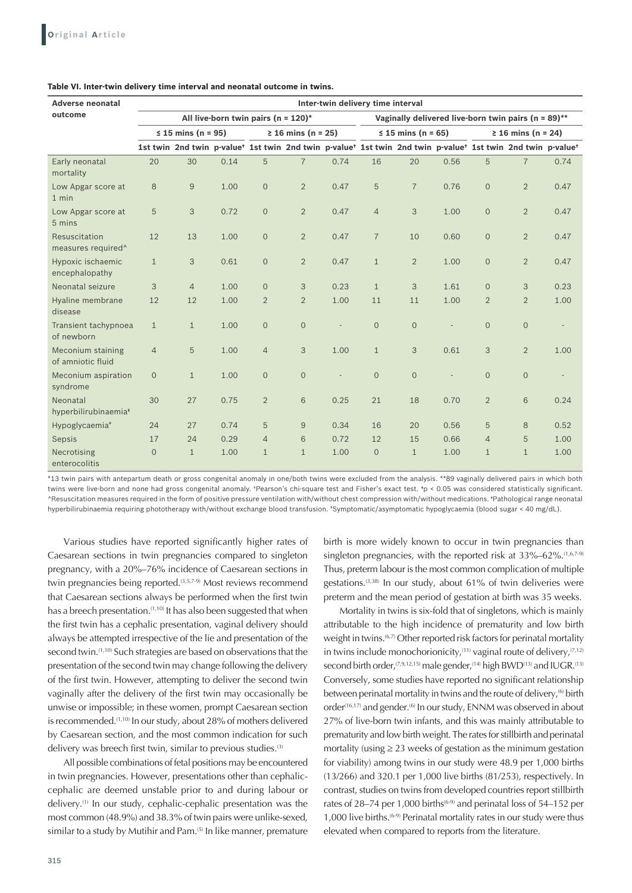| <b>Adverse neonatal</b>                      | Inter-twin delivery time interval |                    |      |                                         |                    |      |                |                                                                                                                                                             |      |                      |                |      |  |
|----------------------------------------------|-----------------------------------|--------------------|------|-----------------------------------------|--------------------|------|----------------|-------------------------------------------------------------------------------------------------------------------------------------------------------------|------|----------------------|----------------|------|--|
| outcome                                      |                                   |                    |      | All live-born twin pairs ( $n = 120$ )* |                    |      |                | Vaginally delivered live-born twin pairs ( $n = 89$ )**                                                                                                     |      |                      |                |      |  |
|                                              |                                   | ≤ 15 mins (n = 95) |      |                                         | ≥ 16 mins (n = 25) |      |                | ≤ 15 mins (n = 65)                                                                                                                                          |      | $≥ 16 mins (n = 24)$ |                |      |  |
|                                              |                                   |                    |      |                                         |                    |      |                | 1st twin 2nd twin p-value <sup>†</sup> 1st twin 2nd twin p-value <sup>†</sup> 1st twin 2nd twin p-value <sup>†</sup> 1st twin 2nd twin p-value <sup>†</sup> |      |                      |                |      |  |
| Early neonatal<br>mortality                  | 20                                | 30                 | 0.14 | 5                                       | $\overline{7}$     | 0.74 | 16             | 20                                                                                                                                                          | 0.56 | 5                    | $\overline{7}$ | 0.74 |  |
| Low Apgar score at<br>$1$ min                | 8                                 | $\boldsymbol{9}$   | 1.00 | $\mathbf 0$                             | $\overline{2}$     | 0.47 | 5              | $\overline{7}$                                                                                                                                              | 0.76 | $\overline{0}$       | $\overline{2}$ | 0.47 |  |
| Low Apgar score at<br>5 mins                 | 5                                 | 3                  | 0.72 | $\mathbf{O}$                            | $\overline{2}$     | 0.47 | $\overline{4}$ | 3                                                                                                                                                           | 1.00 | $\Omega$             | $\overline{2}$ | 0.47 |  |
| Resuscitation<br>measures required^          | 12                                | 13                 | 1.00 | $\mathbf{O}$                            | $\overline{2}$     | 0.47 | $\overline{7}$ | 10                                                                                                                                                          | 0.60 | $\Omega$             | $\overline{2}$ | 0.47 |  |
| Hypoxic ischaemic<br>encephalopathy          | $\mathbf{1}$                      | 3                  | 0.61 | $\mathbf 0$                             | $\overline{2}$     | 0.47 | $\mathbf{1}$   | $\overline{2}$                                                                                                                                              | 1.00 | $\overline{0}$       | $\overline{2}$ | 0.47 |  |
| Neonatal seizure                             | 3                                 | $\overline{4}$     | 1.00 | $\mathbf{O}$                            | 3                  | 0.23 | $\mathbf{1}$   | 3                                                                                                                                                           | 1.61 | $\Omega$             | 3              | 0.23 |  |
| Hyaline membrane<br>disease                  | 12                                | 12                 | 1.00 | $\overline{2}$                          | $\overline{2}$     | 1.00 | 11             | 11                                                                                                                                                          | 1.00 | $\overline{2}$       | $\overline{2}$ | 1.00 |  |
| Transient tachypnoea<br>of newborn           | $\mathbf{1}$                      | $\mathbf{1}$       | 1.00 | $\mathbf{O}$                            | $\overline{0}$     |      | $\overline{0}$ | $\mathbf{O}$                                                                                                                                                |      | $\overline{0}$       | $\overline{0}$ |      |  |
| Meconium staining<br>of amniotic fluid       | $\overline{4}$                    | 5                  | 1.00 | $\overline{4}$                          | 3                  | 1.00 | $\mathbf{1}$   | 3                                                                                                                                                           | 0.61 | 3                    | $\overline{2}$ | 1.00 |  |
| Meconium aspiration<br>syndrome              | $\mathbf{O}$                      | $\mathbf{1}$       | 1.00 | $\mathbf{0}$                            | $\overline{0}$     |      | $\Omega$       | $\mathbf{O}$                                                                                                                                                |      | $\Omega$             | $\Omega$       |      |  |
| Neonatal<br>hyperbilirubinaemia <sup>*</sup> | 30                                | 27                 | 0.75 | $\overline{2}$                          | 6                  | 0.25 | 21             | 18                                                                                                                                                          | 0.70 | $\overline{2}$       | 6              | 0.24 |  |
| Hypoglycaemia <sup>*</sup>                   | 24                                | 27                 | 0.74 | 5                                       | 9                  | 0.34 | 16             | 20                                                                                                                                                          | 0.56 | 5                    | 8              | 0.52 |  |
| Sepsis                                       | 17                                | 24                 | 0.29 | $\overline{4}$                          | 6                  | 0.72 | 12             | 15                                                                                                                                                          | 0.66 | $\overline{4}$       | 5              | 1.00 |  |
| Necrotising<br>enterocolitis                 | $\mathbf 0$                       | $\mathbf{1}$       | 1.00 | $\mathbf{1}$                            | $\mathbf{1}$       | 1.00 | $\mathbf{O}$   | $\mathbf{1}$                                                                                                                                                | 1.00 | $\mathbf{1}$         | $\mathbf{1}$   | 1.00 |  |

#### **Table VI. Inter‑twin delivery time interval and neonatal outcome in twins.**

\*13 twin pairs with antepartum death or gross congenital anomaly in one/both twins were excluded from the analysis. \*\*89 vaginally delivered pairs in which both twins were live-born and none had gross congenital anomaly. †Pearson's chi-square test and Fisher's exact test. ‡p < 0.05 was considered statistically significant. ^Resuscitation measures required in the form of positive pressure ventilation with/without chest compression with/without medications. ‡Pathological range neonatal hyperbilirubinaemia requiring phototherapy with/without exchange blood transfusion. # Symptomatic/asymptomatic hypoglycaemia (blood sugar < 40 mg/dL).

Various studies have reported significantly higher rates of Caesarean sections in twin pregnancies compared to singleton pregnancy, with a 20%–76% incidence of Caesarean sections in twin pregnancies being reported.<sup>(3,5,7-9)</sup> Most reviews recommend that Caesarean sections always be performed when the first twin has a breech presentation.<sup>(1,10)</sup> It has also been suggested that when the first twin has a cephalic presentation, vaginal delivery should always be attempted irrespective of the lie and presentation of the second twin.<sup>(1,10)</sup> Such strategies are based on observations that the presentation of the second twin may change following the delivery of the first twin. However, attempting to deliver the second twin vaginally after the delivery of the first twin may occasionally be unwise or impossible; in these women, prompt Caesarean section is recommended.<sup>(1,10)</sup> In our study, about 28% of mothers delivered by Caesarean section, and the most common indication for such delivery was breech first twin, similar to previous studies.<sup>(3)</sup>

All possible combinations of fetal positions may be encountered in twin pregnancies. However, presentations other than cephaliccephalic are deemed unstable prior to and during labour or delivery.(1) In our study, cephalic-cephalic presentation was the most common (48.9%) and 38.3% of twin pairs were unlike-sexed, similar to a study by Mutihir and Pam.<sup>(5)</sup> In like manner, premature

birth is more widely known to occur in twin pregnancies than singleton pregnancies, with the reported risk at  $33\% - 62\%$ .  $(1,6,7-9)$ Thus, preterm labour is the most common complication of multiple gestations.<sup>(3,38)</sup> In our study, about 61% of twin deliveries were preterm and the mean period of gestation at birth was 35 weeks.

Mortality in twins is six-fold that of singletons, which is mainly attributable to the high incidence of prematurity and low birth weight in twins.<sup>(6,7)</sup> Other reported risk factors for perinatal mortality in twins include monochorionicity,<sup> $(11)$ </sup> vaginal route of delivery, $(7,12)$ second birth order,  $(7,9,12,15)$  male gender,  $(14)$  high BWD $(13)$  and IUGR. $(13)$ Conversely, some studies have reported no significant relationship between perinatal mortality in twins and the route of delivery,<sup>(6)</sup> birth order<sup>(16,17)</sup> and gender.<sup>(6)</sup> In our study, ENNM was observed in about 27% of live-born twin infants, and this was mainly attributable to prematurity and low birth weight. The rates for stillbirth and perinatal mortality (using  $\geq$  23 weeks of gestation as the minimum gestation for viability) among twins in our study were 48.9 per 1,000 births (13/266) and 320.1 per 1,000 live births (81/253), respectively. In contrast, studies on twins from developed countries report stillbirth rates of 28-74 per 1,000 births<sup>(6-9)</sup> and perinatal loss of 54-152 per 1,000 live births.<sup>(6-9)</sup> Perinatal mortality rates in our study were thus elevated when compared to reports from the literature.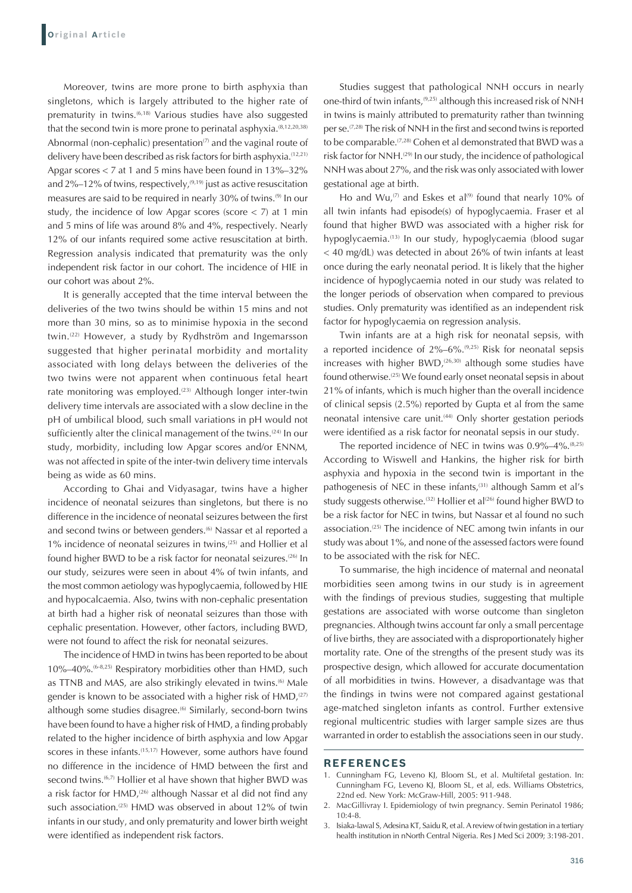Moreover, twins are more prone to birth asphyxia than singletons, which is largely attributed to the higher rate of prematurity in twins.<sup>(6,18)</sup> Various studies have also suggested that the second twin is more prone to perinatal asphyxia.<sup>(8,12,20,38)</sup> Abnormal (non-cephalic) presentation<sup> $(7)$ </sup> and the vaginal route of delivery have been described as risk factors for birth asphyxia.(12,21) Apgar scores < 7 at 1 and 5 mins have been found in 13%–32% and  $2\%$ –12% of twins, respectively,<sup>(9,19)</sup> just as active resuscitation measures are said to be required in nearly 30% of twins.(9) In our study, the incidence of low Apgar scores (score < 7) at 1 min and 5 mins of life was around 8% and 4%, respectively. Nearly 12% of our infants required some active resuscitation at birth. Regression analysis indicated that prematurity was the only independent risk factor in our cohort. The incidence of HIE in our cohort was about 2%.

It is generally accepted that the time interval between the deliveries of the two twins should be within 15 mins and not more than 30 mins, so as to minimise hypoxia in the second twin.<sup>(22)</sup> However, a study by Rydhström and Ingemarsson suggested that higher perinatal morbidity and mortality associated with long delays between the deliveries of the two twins were not apparent when continuous fetal heart rate monitoring was employed.<sup>(23)</sup> Although longer inter-twin delivery time intervals are associated with a slow decline in the pH of umbilical blood, such small variations in pH would not sufficiently alter the clinical management of the twins.<sup>(24)</sup> In our study, morbidity, including low Apgar scores and/or ENNM, was not affected in spite of the inter-twin delivery time intervals being as wide as 60 mins.

According to Ghai and Vidyasagar, twins have a higher incidence of neonatal seizures than singletons, but there is no difference in the incidence of neonatal seizures between the first and second twins or between genders.<sup>(6)</sup> Nassar et al reported a 1% incidence of neonatal seizures in twins,<sup>(25)</sup> and Hollier et al found higher BWD to be a risk factor for neonatal seizures.<sup>(26)</sup> In our study, seizures were seen in about 4% of twin infants, and the most common aetiology was hypoglycaemia, followed by HIE and hypocalcaemia. Also, twins with non-cephalic presentation at birth had a higher risk of neonatal seizures than those with cephalic presentation. However, other factors, including BWD, were not found to affect the risk for neonatal seizures.

The incidence of HMD in twins has been reported to be about 10%–40%.(6-8,25) Respiratory morbidities other than HMD, such as TTNB and MAS, are also strikingly elevated in twins.<sup>(6)</sup> Male gender is known to be associated with a higher risk of HMD,<sup>(27)</sup> although some studies disagree.<sup>(6)</sup> Similarly, second-born twins have been found to have a higher risk of HMD, a finding probably related to the higher incidence of birth asphyxia and low Apgar scores in these infants.<sup>(15,17)</sup> However, some authors have found no difference in the incidence of HMD between the first and second twins.<sup>(6,7)</sup> Hollier et al have shown that higher BWD was a risk factor for HMD,<sup>(26)</sup> although Nassar et al did not find any such association.<sup>(25)</sup> HMD was observed in about 12% of twin infants in our study, and only prematurity and lower birth weight were identified as independent risk factors.

Studies suggest that pathological NNH occurs in nearly one-third of twin infants,<sup>(9,25)</sup> although this increased risk of NNH in twins is mainly attributed to prematurity rather than twinning per se.<sup>(7,28)</sup> The risk of NNH in the first and second twins is reported to be comparable.(7,28) Cohen et al demonstrated that BWD was a risk factor for NNH.<sup>(29)</sup> In our study, the incidence of pathological NNH was about 27%, and the risk was only associated with lower gestational age at birth.

Ho and Wu,<sup>(7)</sup> and Eskes et al<sup>(9)</sup> found that nearly 10% of all twin infants had episode(s) of hypoglycaemia. Fraser et al found that higher BWD was associated with a higher risk for hypoglycaemia.<sup>(13)</sup> In our study, hypoglycaemia (blood sugar < 40 mg/dL) was detected in about 26% of twin infants at least once during the early neonatal period. It is likely that the higher incidence of hypoglycaemia noted in our study was related to the longer periods of observation when compared to previous studies. Only prematurity was identified as an independent risk factor for hypoglycaemia on regression analysis.

Twin infants are at a high risk for neonatal sepsis, with a reported incidence of  $2\% - 6\%$ .<sup>(9,25)</sup> Risk for neonatal sepsis increases with higher BWD, $(26,30)$  although some studies have found otherwise.(25) We found early onset neonatal sepsis in about 21% of infants, which is much higher than the overall incidence of clinical sepsis (2.5%) reported by Gupta et al from the same neonatal intensive care unit.<sup>(44)</sup> Only shorter gestation periods were identified as a risk factor for neonatal sepsis in our study.

The reported incidence of NEC in twins was 0.9%-4%.<sup>(8,25)</sup> According to Wiswell and Hankins, the higher risk for birth asphyxia and hypoxia in the second twin is important in the pathogenesis of NEC in these infants,<sup>(31)</sup> although Samm et al's study suggests otherwise.<sup>(32)</sup> Hollier et al<sup>(26)</sup> found higher BWD to be a risk factor for NEC in twins, but Nassar et al found no such association.(25) The incidence of NEC among twin infants in our study was about 1%, and none of the assessed factors were found to be associated with the risk for NEC.

To summarise, the high incidence of maternal and neonatal morbidities seen among twins in our study is in agreement with the findings of previous studies, suggesting that multiple gestations are associated with worse outcome than singleton pregnancies. Although twins account far only a small percentage of live births, they are associated with a disproportionately higher mortality rate. One of the strengths of the present study was its prospective design, which allowed for accurate documentation of all morbidities in twins. However, a disadvantage was that the findings in twins were not compared against gestational age-matched singleton infants as control. Further extensive regional multicentric studies with larger sample sizes are thus warranted in order to establish the associations seen in our study.

#### **REFERENCES**

- 1. Cunningham FG, Leveno KJ, Bloom SL, et al. Multifetal gestation. In: Cunningham FG, Leveno KJ, Bloom SL, et al, eds. Williams Obstetrics, 22nd ed. New York: McGraw-Hill, 2005: 911-948.
- 2. MacGillivray I. Epidemiology of twin pregnancy. Semin Perinatol 1986; 10:4-8.
- 3. Isiaka-lawal S, Adesina KT, Saidu R, et al. Areview of twin gestation in a tertiary health institution in nNorth Central Nigeria. Res J Med Sci 2009; 3:198-201.